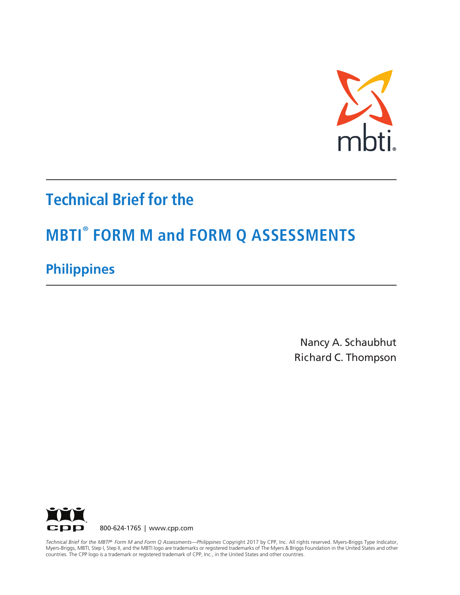

# **Technical Brief for the**

# **MBTI® FORM M and FORM Q ASSESSMENTS**

# **Philippines**

Nancy A. Schaubhut Richard C. Thompson



countries. The CPP logo is a trademark or registered trademark of CPP, Inc., in the United States and other countries. *Technical Brief for the MBTI® Form M and Form Q Assessments—Philippines* Copyright 2017 by CPP, Inc. All rights reserved. Myers-Briggs Type Indicator, Myers-Briggs, MBTI, Step I, Step II, and the MBTI logo are trademarks or registered trademarks of The Myers & Briggs Foundation in the United States and other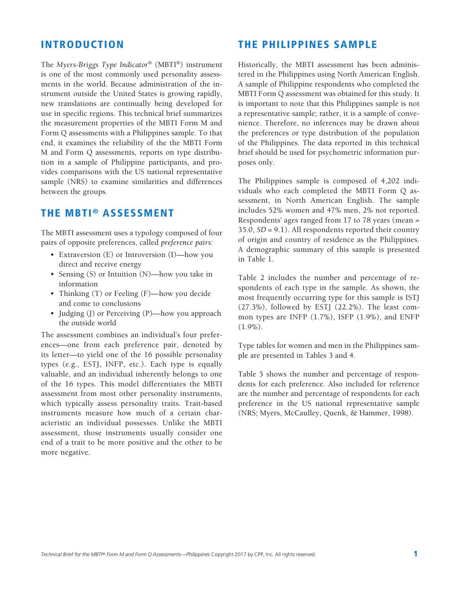#### INTRODUCTION

The *Myers-Briggs Type Indicator*® (MBTI®) instrument is one of the most commonly used personality assessments in the world. Because administration of the instrument outside the United States is growing rapidly, new translations are continually being developed for use in specific regions. This technical brief summarizes the measurement properties of the MBTI Form M and Form Q assessments with a Philippines sample. To that end, it examines the reliability of the the MBTI Form M and Form Q assessments, reports on type distribution in a sample of Philippine participants, and provides comparisons with the US national representative sample (NRS) to examine similarities and differences between the groups.

#### THE MBTI® ASSESSMENT

The MBTI assessment uses a typology composed of four pairs of opposite preferences, called *preference pairs:*

- Extraversion (E) or Introversion (I)—how you direct and receive energy
- Sensing (S) or Intuition (N)—how you take in information
- Thinking (T) or Feeling (F)—how you decide and come to conclusions
- Judging (J) or Perceiving (P)—how you approach the outside world

The assessment combines an individual's four preferences—one from each preference pair, denoted by its letter—to yield one of the 16 possible personality types (e.g., ESTJ, INFP, etc.). Each type is equally valuable, and an individual inherently belongs to one of the 16 types. This model differentiates the MBTI assessment from most other personality instruments, which typically assess personality traits. Trait-based instruments measure how much of a certain characteristic an individual possesses. Unlike the MBTI assessment, those instruments usually consider one end of a trait to be more positive and the other to be more negative.

#### THE PHILIPPINES SAMPLE

Historically, the MBTI assessment has been administered in the Philippines using North American English. A sample of Philippine respondents who completed the MBTI Form Q assessment was obtained for this study. It is important to note that this Philippines sample is not a representative sample; rather, it is a sample of convenience. Therefore, no inferences may be drawn about the preferences or type distribution of the population of the Philippines. The data reported in this technical brief should be used for psychometric information purposes only.

The Philippines sample is composed of 4,202 individuals who each completed the MBTI Form Q assessment, in North American English. The sample includes 52% women and 47% men, 2% not reported. Respondents' ages ranged from 17 to 78 years (mean = 35.0, *SD* = 9.1). All respondents reported their country of origin and country of residence as the Philippines. A demographic summary of this sample is presented in Table 1.

Table 2 includes the number and percentage of respondents of each type in the sample. As shown, the most frequently occurring type for this sample is ISTJ (27.3%), followed by ESTJ (22.2%). The least common types are INFP (1.7%), ISFP (1.9%), and ENFP  $(1.9\%)$ .

Type tables for women and men in the Philippines sample are presented in Tables 3 and 4.

Table 5 shows the number and percentage of respondents for each preference. Also included for reference are the number and percentage of respondents for each preference in the US national representative sample (NRS; Myers, McCaulley, Quenk, & Hammer, 1998).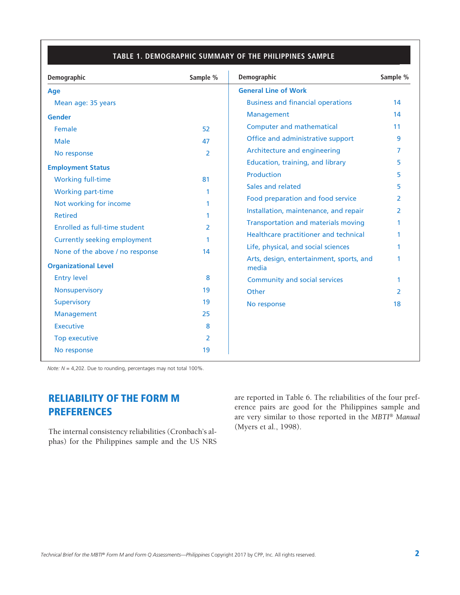#### **TABLE 4. PREDICTION RATIOS FOR THE AFRIKAANS SAMPLE TABLE 1. DEMOGRAPHIC SUMMARY OF THE PHILIPPINES SAMPLE**

| Demographic                                                    | Sample %       | Demographic                                       | Sample %      |
|----------------------------------------------------------------|----------------|---------------------------------------------------|---------------|
| <b>Age</b>                                                     |                | <b>General Line of Work</b>                       |               |
| Mean age: 35 years                                             |                | <b>Business and financial operations</b>          | 14            |
| <b>Gender</b>                                                  |                | Management                                        | 14            |
| Female                                                         | 52             | <b>Computer and mathematical</b>                  | 11            |
| Male                                                           | 47             | Office and administrative support                 | 9             |
| No response                                                    | $\overline{2}$ | Architecture and engineering                      | 7             |
| <b>Employment Status</b>                                       |                | Education, training, and library                  | 5.            |
| <b>Working full-time</b>                                       | 81             | <b>Production</b>                                 | 5.            |
| Working part-time                                              | 1              | Sales and related                                 | 5             |
| Not working for income                                         | 1              | Food preparation and food service                 | 2             |
| <b>Retired</b>                                                 | 1              | Installation, maintenance, and repair             | 2             |
| Enrolled as full-time student                                  | $\overline{2}$ | <b>Transportation and materials moving</b>        |               |
|                                                                |                | Healthcare practitioner and technical             | 1             |
| <b>Currently seeking employment</b>                            | 1              | Life, physical, and social sciences               |               |
| None of the above / no response<br><b>Organizational Level</b> | 14             | Arts, design, entertainment, sports, and<br>media |               |
| <b>Entry level</b>                                             | 8              | Community and social services                     | 1             |
| <b>Nonsupervisory</b>                                          | 19             | Other                                             | $\mathcal{P}$ |
| Supervisory                                                    | 19             | No response                                       | 18            |
| Management                                                     | 25             |                                                   |               |
| <b>Executive</b>                                               | 8              |                                                   |               |
| Top executive                                                  | 2              |                                                   |               |
| No response                                                    | 19             |                                                   |               |

*Note: N* = 4,202. Due to rounding, percentages may not total 100%.

# RELIABILITY OF THE FORM M **PREFERENCES**

The internal consistency reliabilities (Cronbach's alphas) for the Philippines sample and the US NRS are reported in Table 6. The reliabilities of the four preference pairs are good for the Philippines sample and are very similar to those reported in the *MBTI*® *Manual*  (Myers et al., 1998).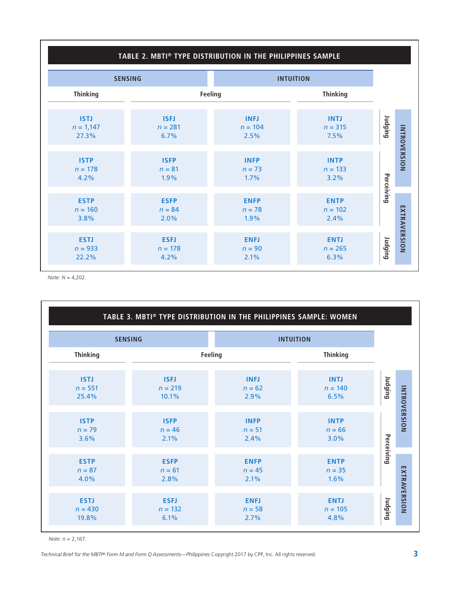## **TABLE 2. MBTI® TYPE DISTRIBUTION IN THE PHILIPPINES SAMPLE**

| <b>SENSING</b>                      |                                  |                                  | <b>INTUITION</b>                 |            |                     |
|-------------------------------------|----------------------------------|----------------------------------|----------------------------------|------------|---------------------|
| <b>Thinking</b>                     |                                  | Feeling                          | <b>Thinking</b>                  |            |                     |
| <b>ISTJ</b><br>$n = 1,147$<br>27.3% | <b>ISFJ</b><br>$n = 281$<br>6.7% | <b>INFJ</b><br>$n = 104$<br>2.5% | <b>INTJ</b><br>$n = 315$<br>7.5% | Judging    |                     |
| <b>ISTP</b><br>$n = 178$<br>4.2%    | <b>ISFP</b><br>$n = 81$<br>1.9%  | <b>INFP</b><br>$n = 73$<br>1.7%  | <b>INTP</b><br>$n = 133$<br>3.2% |            | <b>INTROVERSION</b> |
| <b>ESTP</b><br>$n = 160$<br>3.8%    | <b>ESFP</b><br>$n = 84$<br>2.0%  | <b>ENFP</b><br>$n = 78$<br>1.9%  | <b>ENTP</b><br>$n = 102$<br>2.4% | Perceiving |                     |
| <b>ESTJ</b><br>$n = 933$<br>22.2%   | <b>ESFJ</b><br>$n = 178$<br>4.2% | <b>ENFJ</b><br>$n = 90$<br>2.1%  | <b>ENTJ</b><br>$n = 265$<br>6.3% | Judging    | EXTRAVERSION        |

*Note: N* = 4,202.

|                 |             | TABLE 3. MBTI® TYPE DISTRIBUTION IN THE PHILIPPINES SAMPLE: WOMEN |                  |            |
|-----------------|-------------|-------------------------------------------------------------------|------------------|------------|
| <b>SENSING</b>  |             |                                                                   | <b>INTUITION</b> |            |
| <b>Thinking</b> |             | Feeling                                                           | <b>Thinking</b>  |            |
| <b>ISTJ</b>     | <b>ISFJ</b> | <b>INFJ</b>                                                       | <b>INTJ</b>      | Dunging    |
| $n = 551$       | $n = 219$   | $n = 62$                                                          | $n = 140$        |            |
| 25.4%           | 10.1%       | 2.9%                                                              | 6.5%             |            |
| <b>ISTP</b>     | <b>ISFP</b> | <b>INFP</b>                                                       | <b>INTP</b>      |            |
| $n = 79$        | $n = 46$    | $n = 51$                                                          | $n = 66$         |            |
| 3.6%            | 2.1%        | 2.4%                                                              | 3.0%             |            |
| <b>ESTP</b>     | <b>ESFP</b> | <b>ENFP</b>                                                       | <b>ENTP</b>      | Perceiving |
| $n = 87$        | $n = 61$    | $n = 45$                                                          | $n = 35$         |            |
| 4.0%            | 2.8%        | 2.1%                                                              | 1.6%             |            |
| <b>ESTJ</b>     | <b>ESFJ</b> | <b>ENFJ</b>                                                       | <b>ENTJ</b>      | Judging    |
| $n = 430$       | $n = 132$   | $n = 58$                                                          | $n = 105$        |            |
| 19.8%           | 6.1%        | 2.7%                                                              | 4.8%             |            |

*Note: n* = 2,167.

*Technical Brief for the MBTI® Form M and Form Q Assessments—Philippines Copyright 2017 by CPP, Inc. All rights reserved.*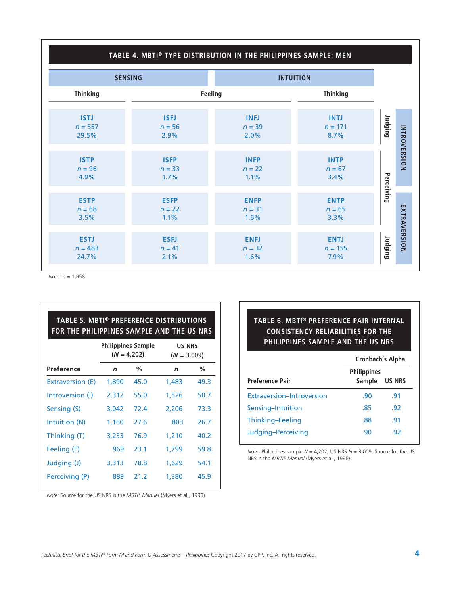#### **TABLE 4. MBTI® TYPE DISTRIBUTION IN THE PHILIPPINES SAMPLE: MEN**

|                                   | <b>SENSING</b>                  |                                 | <b>INTUITION</b>                 |            |                     |
|-----------------------------------|---------------------------------|---------------------------------|----------------------------------|------------|---------------------|
| <b>Thinking</b>                   |                                 | Feeling                         |                                  |            |                     |
| <b>ISTJ</b><br>$n = 557$<br>29.5% | <b>ISFJ</b><br>$n = 56$<br>2.9% | <b>INFJ</b><br>$n = 39$<br>2.0% | <b>INTJ</b><br>$n = 171$<br>8.7% | Judging    |                     |
| <b>ISTP</b><br>$n = 96$<br>4.9%   | <b>ISFP</b><br>$n = 33$<br>1.7% | <b>INFP</b><br>$n = 22$<br>1.1% | <b>INTP</b><br>$n = 67$<br>3.4%  |            | <b>INTROVERSION</b> |
| <b>ESTP</b><br>$n = 68$<br>3.5%   | <b>ESFP</b><br>$n = 22$<br>1.1% | <b>ENFP</b><br>$n = 31$<br>1.6% | <b>ENTP</b><br>$n = 65$<br>3.3%  | Perceiving |                     |
| <b>ESTJ</b><br>$n = 483$<br>24.7% | <b>ESFJ</b><br>$n = 41$<br>2.1% | <b>ENFJ</b><br>$n = 32$<br>1.6% | <b>ENTJ</b><br>$n = 155$<br>7.9% | Judging    | EXTRAVERSION        |

*Note: n* = 1,958.

| TABLE 5. MBTI® PREFERENCE DISTRIBUTIONS<br>FOR THE PHILIPPINES SAMPLE AND THE US NRS |                                                                              |      |             |      |  |  |  |  |
|--------------------------------------------------------------------------------------|------------------------------------------------------------------------------|------|-------------|------|--|--|--|--|
|                                                                                      | <b>Philippines Sample</b><br><b>US NRS</b><br>$(N = 4,202)$<br>$(N = 3,009)$ |      |             |      |  |  |  |  |
| Preference                                                                           | $\mathbf n$                                                                  | %    | $\mathbf n$ | $\%$ |  |  |  |  |
| Extraversion (E)                                                                     | 1,890                                                                        | 45.0 | 1,483       | 49.3 |  |  |  |  |
| Introversion (I)                                                                     | 2,312                                                                        | 55.0 | 1,526       | 50.7 |  |  |  |  |
| Sensing (S)                                                                          | 3,042                                                                        | 72.4 | 2,206       | 73.3 |  |  |  |  |
| Intuition (N)                                                                        | 1,160                                                                        | 27.6 | 803         | 26.7 |  |  |  |  |
| Thinking (T)                                                                         | 3,233                                                                        | 76.9 | 1,210       | 40.2 |  |  |  |  |
| Feeling (F)                                                                          | 969                                                                          | 23.1 | 1,799       | 59.8 |  |  |  |  |
| Judging (J)                                                                          | 3,313                                                                        | 78.8 | 1,629       | 54.1 |  |  |  |  |
| Perceiving (P)                                                                       | 889                                                                          | 21.2 | 1,380       | 45.9 |  |  |  |  |

### **TABLE 6. MBTI® PREFERENCE PAIR INTERNAL CONSISTENCY RELIABILITIES FOR THE PHILIPPINES SAMPLE AND THE US NRS**

|                                  | Cronbach's Alpha             |               |  |
|----------------------------------|------------------------------|---------------|--|
| <b>Preference Pair</b>           | <b>Philippines</b><br>Sample | <b>US NRS</b> |  |
| <b>Extraversion-Introversion</b> | .90                          | .91           |  |
| Sensing-Intuition                | .85                          | .92           |  |
| Thinking-Feeling                 | .88                          | .91           |  |
| Judging-Perceiving               | .90                          | .92           |  |

*Note:* Philippines sample *N* = 4,202; US NRS *N* = 3,009. Source for the US NRS is the *MBTI® Manual* (Myers et al., 1998).

*Note:* Source for the US NRS is the *MBTI® Manual* (Myers et al., 1998).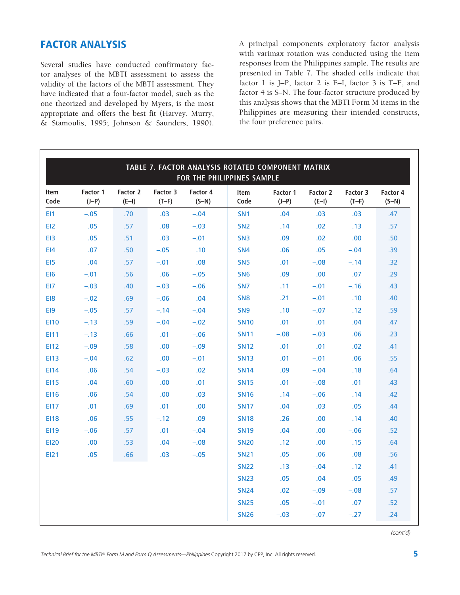## FACTOR ANALYSIS

Several studies have conducted confirmatory factor analyses of the MBTI assessment to assess the validity of the factors of the MBTI assessment. They have indicated that a four-factor model, such as the one theorized and developed by Myers, is the most appropriate and offers the best fit (Harvey, Murry, & Stamoulis, 1995; Johnson & Saunders, 1990).

A principal components exploratory factor analysis with varimax rotation was conducted using the item responses from the Philippines sample. The results are presented in Table 7. The shaded cells indicate that factor 1 is J–P, factor 2 is E–I, factor 3 is T–F, and factor 4 is S–N. The four-factor structure produced by this analysis shows that the MBTI Form M items in the Philippines are measuring their intended constructs, the four preference pairs.

| TABLE 7. FACTOR ANALYSIS ROTATED COMPONENT MATRIX<br>FOR THE PHILIPPINES SAMPLE |                     |                     |                     |                     |                     |                     |                     |                     |                     |
|---------------------------------------------------------------------------------|---------------------|---------------------|---------------------|---------------------|---------------------|---------------------|---------------------|---------------------|---------------------|
| <b>Item</b><br>Code                                                             | Factor 1<br>$(J-P)$ | Factor 2<br>$(E-I)$ | Factor 3<br>$(T-F)$ | Factor 4<br>$(S-N)$ | <b>Item</b><br>Code | Factor 1<br>$(J-P)$ | Factor 2<br>$(E-I)$ | Factor 3<br>$(T-F)$ | Factor 4<br>$(S-N)$ |
| EI1                                                                             | $-.05$              | .70                 | .03                 | $-.04$              | SN <sub>1</sub>     | .04                 | .03                 | .03                 | .47                 |
| EI2                                                                             | .05                 | .57                 | .08                 | $-.03$              | SN <sub>2</sub>     | .14                 | .02                 | .13                 | .57                 |
| EI3                                                                             | .05                 | .51                 | .03                 | $-.01$              | SN <sub>3</sub>     | .09                 | .02                 | .00                 | .50                 |
| E14                                                                             | .07                 | .50                 | $-.05$              | .10                 | SN <sub>4</sub>     | .06                 | .05                 | $-.04$              | .39                 |
| EI5                                                                             | .04                 | .57                 | $-.01$              | .08                 | SN <sub>5</sub>     | .01                 | $-.08$              | $-.14$              | .32                 |
| EI <sub>6</sub>                                                                 | $-.01$              | .56                 | .06                 | $-.05$              | SN <sub>6</sub>     | .09                 | .00.                | .07                 | .29                 |
| EI7                                                                             | $-.03$              | .40                 | $-.03$              | $-.06$              | SN <sub>7</sub>     | .11                 | $-.01$              | $-.16$              | .43                 |
| EI8                                                                             | $-.02$              | .69                 | $-.06$              | .04                 | SN <sub>8</sub>     | .21                 | $-.01$              | .10                 | .40                 |
| EI9                                                                             | $-.05$              | .57                 | $-.14$              | $-.04$              | SN <sub>9</sub>     | .10                 | $-.07$              | .12                 | .59                 |
| <b>EI10</b>                                                                     | $-.13$              | .59                 | $-.04$              | $-.02$              | <b>SN10</b>         | .01                 | .01                 | .04                 | .47                 |
| EI11                                                                            | $-.13$              | .66                 | .01                 | $-.06$              | <b>SN11</b>         | $-.08$              | $-.03$              | .06                 | .23                 |
| <b>EI12</b>                                                                     | $-.09$              | .58                 | .00                 | $-.09$              | <b>SN12</b>         | .01                 | .01                 | .02                 | .41                 |
| <b>EI13</b>                                                                     | $-.04$              | .62                 | .00                 | $-.01$              | <b>SN13</b>         | .01                 | $-.01$              | .06                 | .55                 |
| EI14                                                                            | .06                 | .54                 | $-.03$              | .02                 | <b>SN14</b>         | .09                 | $-.04$              | .18                 | .64                 |
| <b>EI15</b>                                                                     | .04                 | .60                 | .00                 | .01                 | <b>SN15</b>         | .01                 | $-.08$              | .01                 | .43                 |
| <b>EI16</b>                                                                     | .06                 | .54                 | .00                 | .03                 | <b>SN16</b>         | .14                 | $-.06$              | .14                 | .42                 |
| <b>EI17</b>                                                                     | .01                 | .69                 | .01                 | .00                 | <b>SN17</b>         | .04                 | .03                 | .05                 | .44                 |
| <b>EI18</b>                                                                     | .06                 | .55                 | $-.12$              | .09                 | <b>SN18</b>         | .26                 | .00.                | .14                 | .40                 |
| <b>EI19</b>                                                                     | $-.06$              | .57                 | .01                 | $-.04$              | <b>SN19</b>         | .04                 | .00.                | $-.06$              | .52                 |
| <b>EI20</b>                                                                     | .00.                | .53                 | .04                 | $-.08$              | <b>SN20</b>         | .12                 | .00.                | .15                 | .64                 |
| <b>EI21</b>                                                                     | .05                 | .66                 | .03                 | $-.05$              | <b>SN21</b>         | .05                 | .06                 | .08                 | .56                 |
|                                                                                 |                     |                     |                     |                     | <b>SN22</b>         | .13                 | $-.04$              | .12                 | .41                 |
|                                                                                 |                     |                     |                     |                     | <b>SN23</b>         | .05                 | .04                 | .05                 | .49                 |
|                                                                                 |                     |                     |                     |                     | <b>SN24</b>         | .02                 | $-.09$              | $-.08$              | .57                 |
|                                                                                 |                     |                     |                     |                     | <b>SN25</b>         | .05                 | $-.01$              | .07                 | .52                 |
|                                                                                 |                     |                     |                     |                     | <b>SN26</b>         | $-.03$              | $-.07$              | $-.27$              | .24                 |

*(cont'd)*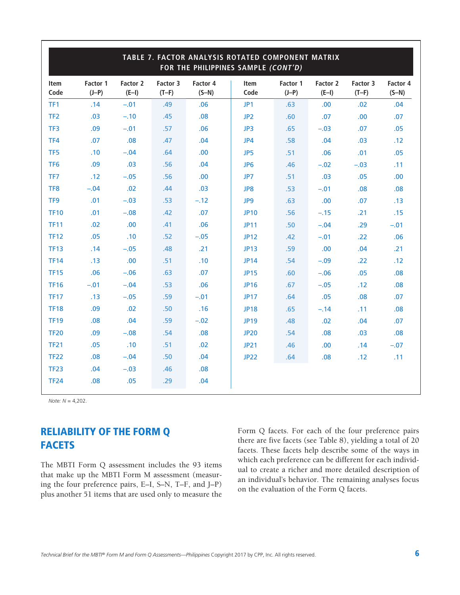| TABLE 7. FACTOR ANALYSIS ROTATED COMPONENT MATRIX<br>FOR THE PHILIPPINES SAMPLE (CONT'D) |                     |                     |                     |                     |                 |                     |                     |                     |                     |
|------------------------------------------------------------------------------------------|---------------------|---------------------|---------------------|---------------------|-----------------|---------------------|---------------------|---------------------|---------------------|
| Item<br>Code                                                                             | Factor 1<br>$(J-P)$ | Factor 2<br>$(E-I)$ | Factor 3<br>$(T-F)$ | Factor 4<br>$(S-N)$ | Item<br>Code    | Factor 1<br>$(J-P)$ | Factor 2<br>$(E-I)$ | Factor 3<br>$(T-F)$ | Factor 4<br>$(S-N)$ |
| TF1                                                                                      | .14                 | $-.01$              | .49                 | .06                 | JP1             | .63                 | .00.                | .02                 | .04                 |
| TF <sub>2</sub>                                                                          | .03                 | $-.10$              | .45                 | .08                 | JP <sub>2</sub> | .60                 | .07                 | .00                 | .07                 |
| TF3                                                                                      | .09                 | $-.01$              | .57                 | .06                 | JP3             | .65                 | $-.03$              | .07                 | .05                 |
| TF4                                                                                      | .07                 | .08                 | .47                 | .04                 | JP4             | .58                 | .04                 | .03                 | .12                 |
| TF5                                                                                      | .10                 | $-.04$              | .64                 | .00                 | JP5             | .51                 | .06                 | .01                 | .05                 |
| TF <sub>6</sub>                                                                          | .09                 | .03                 | .56                 | .04                 | JP <sub>6</sub> | .46                 | $-.02$              | $-.03$              | .11                 |
| TF7                                                                                      | .12                 | $-.05$              | .56                 | .00.                | JP7             | .51                 | .03                 | .05                 | .00.                |
| TF8                                                                                      | $-.04$              | .02                 | .44                 | .03                 | JP8             | .53                 | $-.01$              | .08                 | .08                 |
| TF9                                                                                      | .01                 | $-.03$              | .53                 | $-.12$              | JP9             | .63                 | .00.                | .07                 | .13                 |
| <b>TF10</b>                                                                              | .01                 | $-.08$              | .42                 | .07                 | <b>JP10</b>     | .56                 | $-.15$              | .21                 | .15                 |
| <b>TF11</b>                                                                              | .02                 | .00                 | .41                 | .06                 | <b>JP11</b>     | .50                 | $-.04$              | .29                 | $-.01$              |
| <b>TF12</b>                                                                              | .05                 | .10                 | .52                 | $-.05$              | <b>JP12</b>     | .42                 | $-.01$              | .22                 | .06                 |
| <b>TF13</b>                                                                              | .14                 | $-.05$              | .48                 | .21                 | <b>JP13</b>     | .59                 | .00                 | .04                 | .21                 |
| <b>TF14</b>                                                                              | .13                 | .00                 | .51                 | .10                 | <b>JP14</b>     | .54                 | $-.09$              | .22                 | .12                 |
| <b>TF15</b>                                                                              | .06                 | $-.06$              | .63                 | .07                 | <b>JP15</b>     | .60                 | $-.06$              | .05                 | .08                 |
| <b>TF16</b>                                                                              | $-.01$              | $-.04$              | .53                 | .06                 | <b>JP16</b>     | .67                 | $-.05$              | .12                 | .08                 |
| <b>TF17</b>                                                                              | .13                 | $-.05$              | .59                 | $-.01$              | <b>JP17</b>     | .64                 | .05                 | .08                 | .07                 |
| <b>TF18</b>                                                                              | .09                 | .02                 | .50                 | .16                 | <b>JP18</b>     | .65                 | $-.14$              | .11                 | .08                 |
| <b>TF19</b>                                                                              | .08                 | .04                 | .59                 | $-.02$              | <b>JP19</b>     | .48                 | .02                 | .04                 | .07                 |
| <b>TF20</b>                                                                              | .09                 | $-.08$              | .54                 | .08                 | <b>JP20</b>     | .54                 | .08                 | .03                 | .08                 |
| <b>TF21</b>                                                                              | .05                 | .10                 | .51                 | .02                 | <b>JP21</b>     | .46                 | .00.                | .14                 | $-.07$              |
| <b>TF22</b>                                                                              | .08                 | $-.04$              | .50                 | .04                 | <b>JP22</b>     | .64                 | .08                 | .12                 | .11                 |
| <b>TF23</b>                                                                              | .04                 | $-.03$              | .46                 | .08                 |                 |                     |                     |                     |                     |
| <b>TF24</b>                                                                              | .08                 | .05                 | .29                 | .04                 |                 |                     |                     |                     |                     |

*Note: N* = 4,202.

# RELIABILITY OF THE FORM Q **FACETS**

The MBTI Form Q assessment includes the 93 items that make up the MBTI Form M assessment (measuring the four preference pairs, E–I, S–N, T–F, and J–P) plus another 51 items that are used only to measure the Form Q facets. For each of the four preference pairs there are five facets (see Table 8), yielding a total of 20 facets. These facets help describe some of the ways in which each preference can be different for each individual to create a richer and more detailed description of an individual's behavior. The remaining analyses focus on the evaluation of the Form Q facets.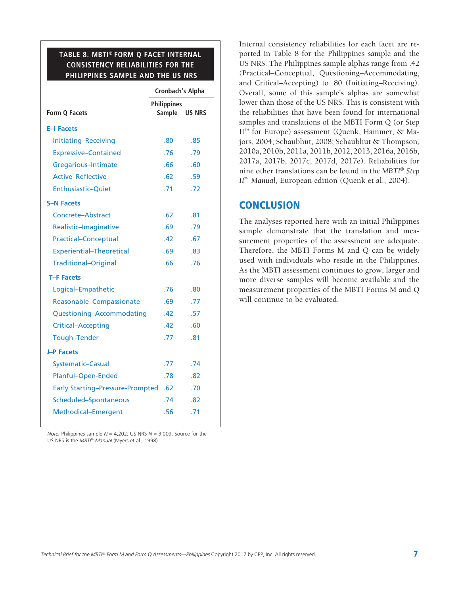#### **TABLE 8. MBTI® FORM Q FACET INTERNAL CONSISTENCY RELIABILITIES FOR THE PHILIPPINES SAMPLE AND THE US NRS**

 $\overline{\phantom{a}}$ 

|                                         | <b>Cronbach's Alpha</b>             |               |  |
|-----------------------------------------|-------------------------------------|---------------|--|
| Form Q Facets                           | <b>Philippines</b><br><b>Sample</b> | <b>US NRS</b> |  |
| <b>E-I Facets</b>                       |                                     |               |  |
| Initiating-Receiving                    | .80                                 | .85           |  |
| <b>Expressive-Contained</b>             | .76                                 | .79           |  |
| Gregarious-Intimate                     | .66                                 | .60           |  |
| <b>Active-Reflective</b>                | .62                                 | .59           |  |
| <b>Enthusiastic-Quiet</b>               | .71                                 | .72           |  |
| <b>S-N Facets</b>                       |                                     |               |  |
| Concrete-Abstract                       | .62                                 | .81           |  |
| Realistic-Imaginative                   | .69                                 | .79           |  |
| <b>Practical-Conceptual</b>             | .42                                 | .67           |  |
| <b>Experiential-Theoretical</b>         | .69                                 | .83           |  |
| <b>Traditional-Original</b>             | .66                                 | .76           |  |
| <b>T-F Facets</b>                       |                                     |               |  |
| Logical-Empathetic                      | .76                                 | .80           |  |
| Reasonable-Compassionate                | .69                                 | .77           |  |
| Questioning-Accommodating               | .42                                 | .57           |  |
| <b>Critical-Accepting</b>               | .42                                 | .60           |  |
| Tough-Tender                            | .77                                 | .81           |  |
| <b>J-P Facets</b>                       |                                     |               |  |
| <b>Systematic-Casual</b>                | .77                                 | .74           |  |
| Planful-Open-Ended                      | .78                                 | .82           |  |
| <b>Early Starting-Pressure-Prompted</b> | .62                                 | .70           |  |
| Scheduled-Spontaneous                   | .74                                 | .82           |  |
| Methodical-Emergent                     | .56                                 | .71           |  |
|                                         |                                     |               |  |

*Note:* Philippines sample *N* = 4,202; US NRS *N* = 3,009. Source for the US NRS is the *MBTI® Manual* (Myers et al., 1998).

Internal consistency reliabilities for each facet are reported in Table 8 for the Philippines sample and the US NRS. The Philippines sample alphas range from .42 (Practical–Conceptual, Questioning–Accommodating, and Critical–Accepting) to .80 (Initiating–Receiving). Overall, some of this sample's alphas are somewhat lower than those of the US NRS. This is consistent with the reliabilities that have been found for international samples and translations of the MBTI Form Q (or Step II™ for Europe) assessment (Quenk, Hammer, & Majors, 2004; Schaubhut, 2008; Schaubhut & Thompson, 2010a, 2010b, 2011a, 2011b, 2012, 2013, 2016a, 2016b, 2017a, 2017b, 2017c, 2017d, 2017e). Reliabilities for nine other translations can be found in the *MBTI*® *Step II*™ *Manual,* European edition (Quenk et al., 2004).

#### **CONCLUSION**

The analyses reported here with an initial Philippines sample demonstrate that the translation and measurement properties of the assessment are adequate. Therefore, the MBTI Forms M and Q can be widely used with individuals who reside in the Philippines. As the MBTI assessment continues to grow, larger and more diverse samples will become available and the measurement properties of the MBTI Forms M and Q will continue to be evaluated.